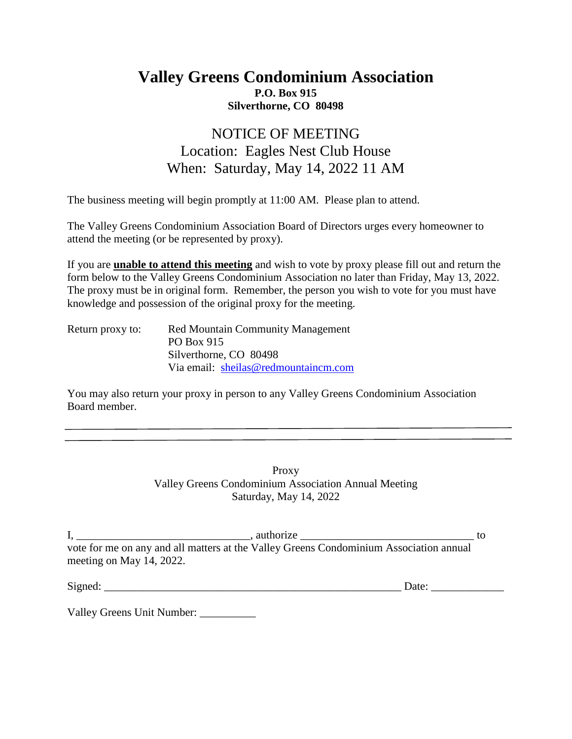## **Valley Greens Condominium Association P.O. Box 915 Silverthorne, CO 80498**

## NOTICE OF MEETING Location: Eagles Nest Club House When: Saturday, May 14, 2022 11 AM

The business meeting will begin promptly at 11:00 AM. Please plan to attend.

The Valley Greens Condominium Association Board of Directors urges every homeowner to attend the meeting (or be represented by proxy).

If you are **unable to attend this meeting** and wish to vote by proxy please fill out and return the form below to the Valley Greens Condominium Association no later than Friday, May 13, 2022. The proxy must be in original form. Remember, the person you wish to vote for you must have knowledge and possession of the original proxy for the meeting.

| Return proxy to: | <b>Red Mountain Community Management</b> |
|------------------|------------------------------------------|
|                  | PO Box 915                               |
|                  | Silverthorne, CO 80498                   |
|                  | Via email: sheilas@redmountaincm.com     |

You may also return your proxy in person to any Valley Greens Condominium Association Board member.

> Proxy Valley Greens Condominium Association Annual Meeting Saturday, May 14, 2022

| authorize                                                                              |  |
|----------------------------------------------------------------------------------------|--|
| vote for me on any and all matters at the Valley Greens Condominium Association annual |  |
| meeting on May 14, 2022.                                                               |  |

Signed:  $\Box$ 

Valley Greens Unit Number: \_\_\_\_\_\_\_\_\_\_